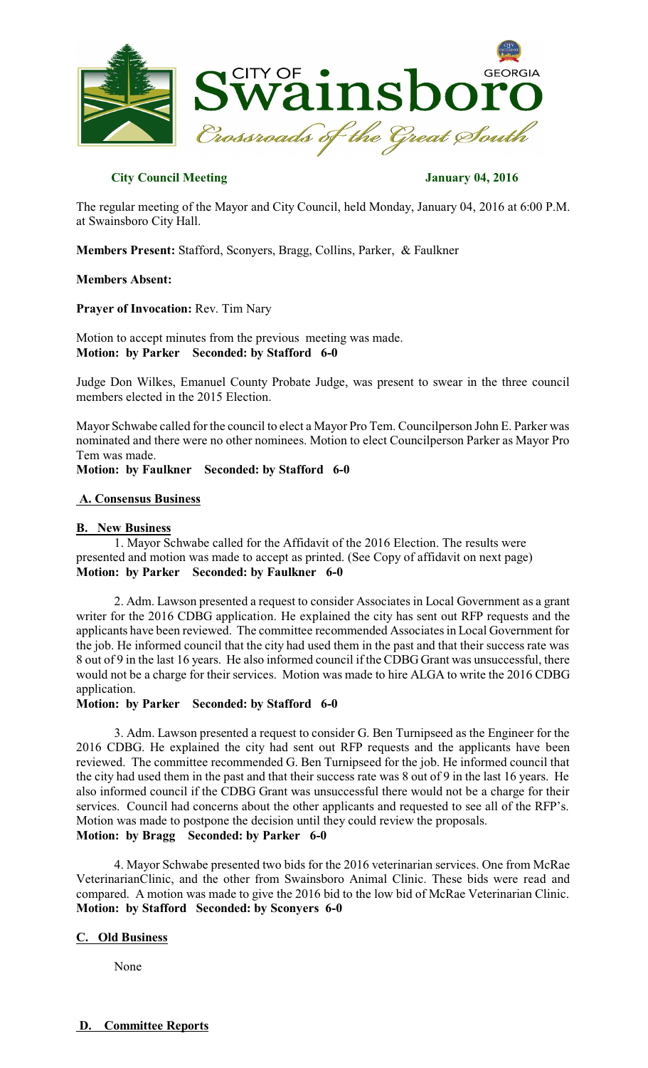

# **City Council Meeting January 04, 2016**

The regular meeting of the Mayor and City Council, held Monday, January 04, 2016 at 6:00 P.M. at Swainsboro City Hall.

**Members Present:** Stafford, Sconyers, Bragg, Collins, Parker, & Faulkner

### **Members Absent:**

**Prayer of Invocation:** Rev. Tim Nary

Motion to accept minutes from the previous meeting was made. **Motion: by Parker Seconded: by Stafford 6-0** 

Judge Don Wilkes, Emanuel County Probate Judge, was present to swear in the three council members elected in the 2015 Election.

Mayor Schwabe called for the council to elect a Mayor Pro Tem. Councilperson John E. Parker was nominated and there were no other nominees. Motion to elect Councilperson Parker as Mayor Pro Tem was made.

**Motion: by Faulkner Seconded: by Stafford 6-0** 

# **A. Consensus Business**

### **B. New Business**

1. Mayor Schwabe called for the Affidavit of the 2016 Election. The results were presented and motion was made to accept as printed. (See Copy of affidavit on next page) **Motion: by Parker Seconded: by Faulkner 6-0** 

2. Adm. Lawson presented a request to consider Associates in Local Government as a grant writer for the 2016 CDBG application. He explained the city has sent out RFP requests and the applicants have been reviewed. The committee recommended Associatesin Local Government for the job. He informed council that the city had used them in the past and that their success rate was 8 out of 9 in the last 16 years. He also informed council if the CDBG Grant was unsuccessful, there would not be a charge for their services. Motion was made to hire ALGA to write the 2016 CDBG application.

**Motion: by Parker Seconded: by Stafford 6-0** 

3. Adm. Lawson presented a request to consider G. Ben Turnipseed as the Engineer for the 2016 CDBG. He explained the city had sent out RFP requests and the applicants have been reviewed. The committee recommended G. Ben Turnipseed for the job. He informed council that the city had used them in the past and that their success rate was 8 out of 9 in the last 16 years. He also informed council if the CDBG Grant was unsuccessful there would not be a charge for their services. Council had concerns about the other applicants and requested to see all of the RFP's. Motion was made to postpone the decision until they could review the proposals. **Motion: by Bragg Seconded: by Parker 6-0** 

4. Mayor Schwabe presented two bids for the 2016 veterinarian services. One from McRae VeterinarianClinic, and the other from Swainsboro Animal Clinic. These bids were read and compared. A motion was made to give the 2016 bid to the low bid of McRae Veterinarian Clinic. **Motion: by Stafford Seconded: by Sconyers 6-0** 

# **C. Old Business**

None